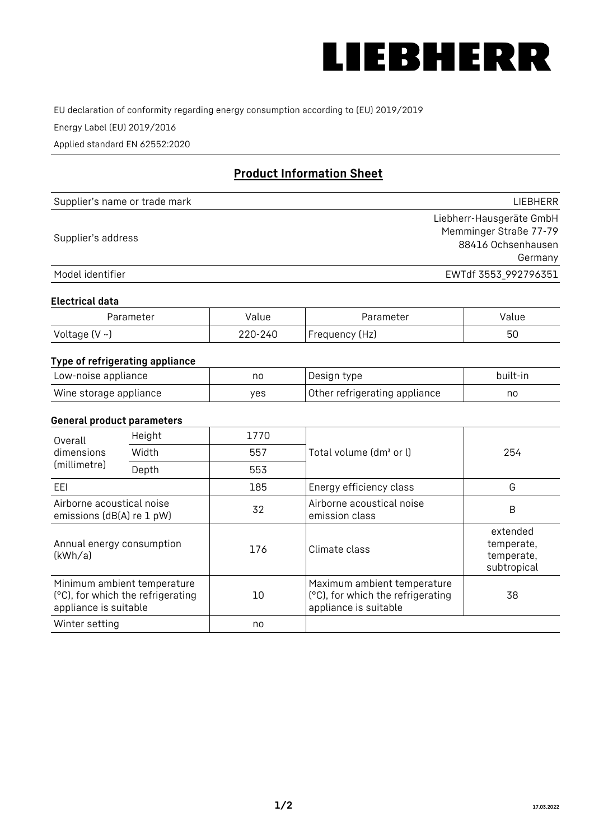

EU declaration of conformity regarding energy consumption according to (EU) 2019/2019

Energy Label (EU) 2019/2016

Applied standard EN 62552:2020

# **Product Information Sheet**

| Supplier's name or trade mark | LIEBHERR                                           |
|-------------------------------|----------------------------------------------------|
| Supplier's address            | Liebherr-Hausgeräte GmbH<br>Memminger Straße 77-79 |
|                               | 88416 Ochsenhausen<br>Germany                      |
| Model identifier              | EWTdf 3553_992796351                               |

#### **Electrical data**

| Parameter     | Value   | Parameter      | Value |
|---------------|---------|----------------|-------|
| Voltage (V ~) | 220-240 | Frequency (Hz) | 50    |

# **Type of refrigerating appliance**

| Low-noise appliance    | nc  | , Design type i               | built-in |
|------------------------|-----|-------------------------------|----------|
| Wine storage appliance | ves | Other refrigerating appliance | nc       |

### **General product parameters**

| Height<br>Overall                                      |                                                                  | 1770 |                                                                                           |                                                     |
|--------------------------------------------------------|------------------------------------------------------------------|------|-------------------------------------------------------------------------------------------|-----------------------------------------------------|
| dimensions<br>(millimetre)                             | Width                                                            | 557  | Total volume (dm <sup>3</sup> or l)                                                       | 254                                                 |
|                                                        | Depth                                                            | 553  |                                                                                           |                                                     |
| EEL                                                    |                                                                  | 185  | Energy efficiency class                                                                   | G                                                   |
| Airborne acoustical noise<br>emissions (dB(A) re 1 pW) |                                                                  | 32   | Airborne acoustical noise<br>emission class                                               | B                                                   |
| Annual energy consumption<br>(kWh/a)                   |                                                                  | 176  | Climate class                                                                             | extended<br>temperate,<br>temperate,<br>subtropical |
| appliance is suitable                                  | Minimum ambient temperature<br>(°C), for which the refrigerating | 10   | Maximum ambient temperature<br>(°C), for which the refrigerating<br>appliance is suitable | 38                                                  |
| Winter setting                                         |                                                                  | no   |                                                                                           |                                                     |